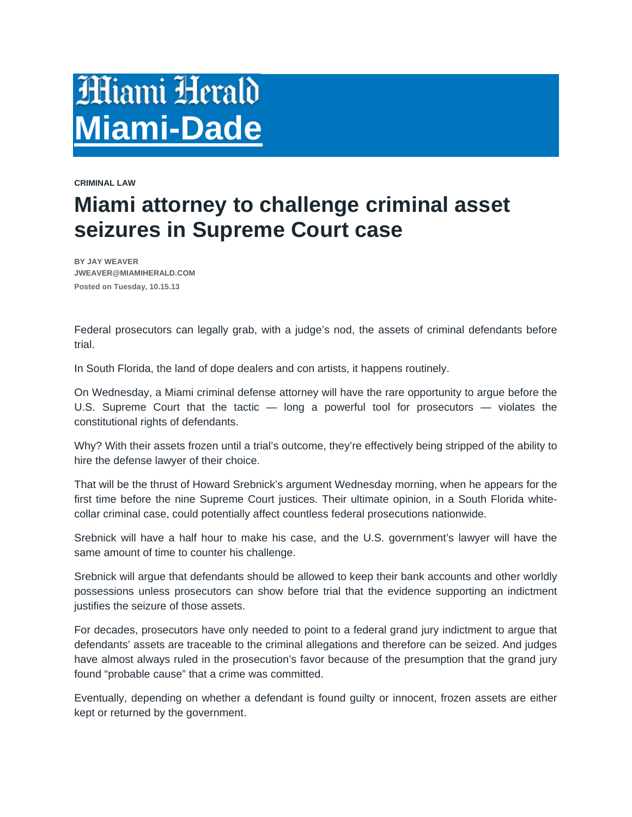## **Miami Herald Miami-Dade**

**CRIMINAL LAW** 

## **Miami attorney to challenge criminal asset seizures in Supreme Court case**

 **BY JAY WEAVER JWEAVER@MIAMIHERALD.COM Posted on Tuesday, 10.15.13** 

Federal prosecutors can legally grab, with a judge's nod, the assets of criminal defendants before trial.

In South Florida, the land of dope dealers and con artists, it happens routinely.

On Wednesday, a Miami criminal defense attorney will have the rare opportunity to argue before the U.S. Supreme Court that the tactic — long a powerful tool for prosecutors — violates the constitutional rights of defendants.

Why? With their assets frozen until a trial's outcome, they're effectively being stripped of the ability to hire the defense lawyer of their choice.

That will be the thrust of Howard Srebnick's argument Wednesday morning, when he appears for the first time before the nine Supreme Court justices. Their ultimate opinion, in a South Florida whitecollar criminal case, could potentially affect countless federal prosecutions nationwide.

Srebnick will have a half hour to make his case, and the U.S. government's lawyer will have the same amount of time to counter his challenge.

Srebnick will argue that defendants should be allowed to keep their bank accounts and other worldly possessions unless prosecutors can show before trial that the evidence supporting an indictment justifies the seizure of those assets.

For decades, prosecutors have only needed to point to a federal grand jury indictment to argue that defendants' assets are traceable to the criminal allegations and therefore can be seized. And judges have almost always ruled in the prosecution's favor because of the presumption that the grand jury found "probable cause" that a crime was committed.

Eventually, depending on whether a defendant is found guilty or innocent, frozen assets are either kept or returned by the government.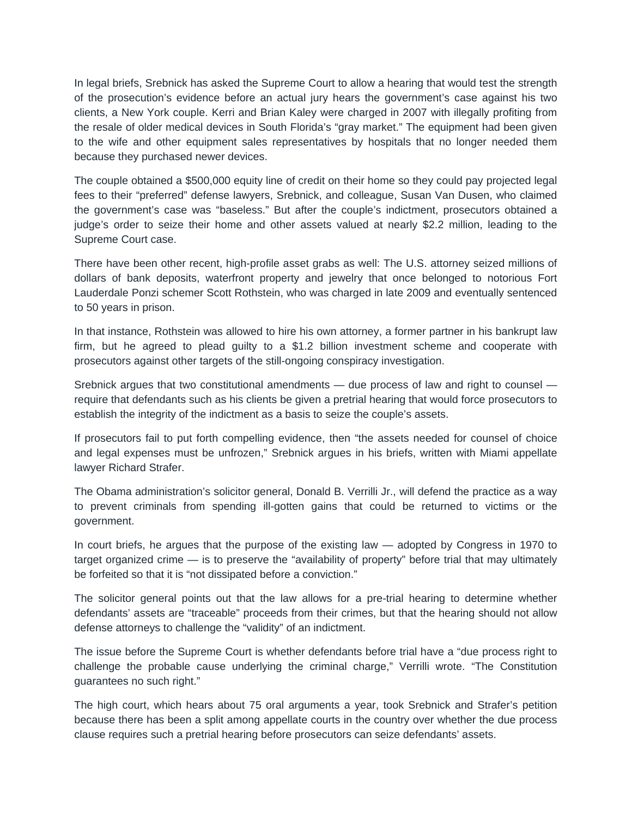In legal briefs, Srebnick has asked the Supreme Court to allow a hearing that would test the strength of the prosecution's evidence before an actual jury hears the government's case against his two clients, a New York couple. Kerri and Brian Kaley were charged in 2007 with illegally profiting from the resale of older medical devices in South Florida's "gray market." The equipment had been given to the wife and other equipment sales representatives by hospitals that no longer needed them because they purchased newer devices.

The couple obtained a \$500,000 equity line of credit on their home so they could pay projected legal fees to their "preferred" defense lawyers, Srebnick, and colleague, Susan Van Dusen, who claimed the government's case was "baseless." But after the couple's indictment, prosecutors obtained a judge's order to seize their home and other assets valued at nearly \$2.2 million, leading to the Supreme Court case.

There have been other recent, high-profile asset grabs as well: The U.S. attorney seized millions of dollars of bank deposits, waterfront property and jewelry that once belonged to notorious Fort Lauderdale Ponzi schemer Scott Rothstein, who was charged in late 2009 and eventually sentenced to 50 years in prison.

In that instance, Rothstein was allowed to hire his own attorney, a former partner in his bankrupt law firm, but he agreed to plead guilty to a \$1.2 billion investment scheme and cooperate with prosecutors against other targets of the still-ongoing conspiracy investigation.

Srebnick argues that two constitutional amendments — due process of law and right to counsel require that defendants such as his clients be given a pretrial hearing that would force prosecutors to establish the integrity of the indictment as a basis to seize the couple's assets.

If prosecutors fail to put forth compelling evidence, then "the assets needed for counsel of choice and legal expenses must be unfrozen," Srebnick argues in his briefs, written with Miami appellate lawyer Richard Strafer.

The Obama administration's solicitor general, Donald B. Verrilli Jr., will defend the practice as a way to prevent criminals from spending ill-gotten gains that could be returned to victims or the government.

In court briefs, he argues that the purpose of the existing law — adopted by Congress in 1970 to target organized crime — is to preserve the "availability of property" before trial that may ultimately be forfeited so that it is "not dissipated before a conviction."

The solicitor general points out that the law allows for a pre-trial hearing to determine whether defendants' assets are "traceable" proceeds from their crimes, but that the hearing should not allow defense attorneys to challenge the "validity" of an indictment.

The issue before the Supreme Court is whether defendants before trial have a "due process right to challenge the probable cause underlying the criminal charge," Verrilli wrote. "The Constitution guarantees no such right."

The high court, which hears about 75 oral arguments a year, took Srebnick and Strafer's petition because there has been a split among appellate courts in the country over whether the due process clause requires such a pretrial hearing before prosecutors can seize defendants' assets.